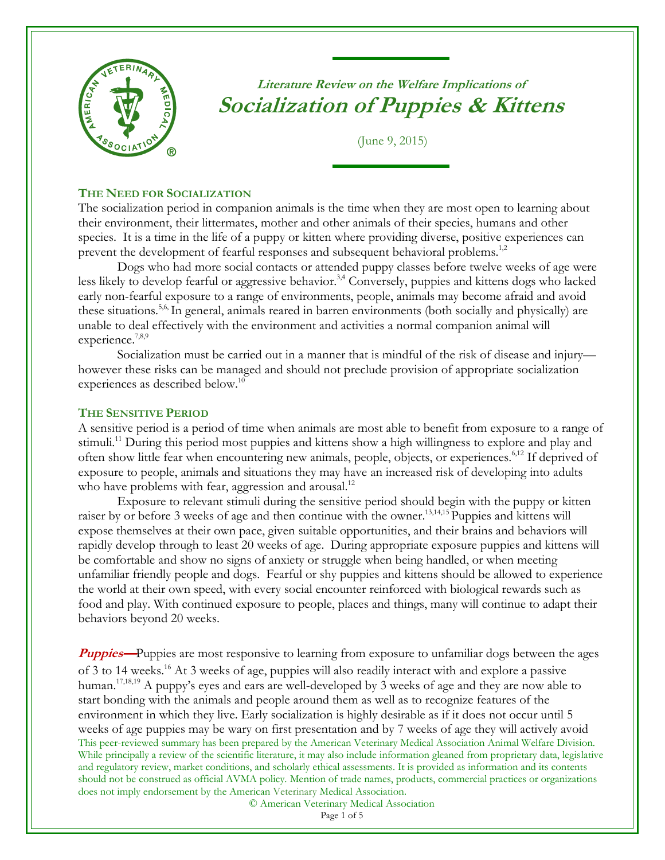

**Literature Review on the Welfare Implications of Socialization of Puppies & Kittens**

(June 9, 2015)

### **THE NEED FOR SOCIALIZATION**

The socialization period in companion animals is the time when they are most open to learning about their environment, their littermates, mother and other animals of their species, humans and other species. It is a time in the life of a puppy or kitten where providing diverse, positive experiences can prevent the development of fearful responses and subsequent behavioral problems.<sup>1,2</sup>

<span id="page-0-3"></span><span id="page-0-0"></span>Dogs who had more social contacts or attended puppy classes before twelve weeks of age were less likely to develop fearful or aggressive behavior.<sup>3,4</sup> Conversely, puppies and kittens dogs who lacked early non-fearful exposure to a range of environments, people, animals may become afraid and avoid these situations. 5,6, In general, animals reared in barren environments (both socially and physically) are unable to deal effectively with the environment and activities a normal companion animal will experience.<sup>7,8,9</sup>

Socialization must be carried out in a manner that is mindful of the risk of disease and injury however these risks can be managed and should not preclude provision of appropriate socialization experiences as described below.<sup>10</sup>

#### **THE SENSITIVE PERIOD**

A sensitive period is a period of time when animals are most able to benefit from exposure to a range of stimuli.<sup>11</sup> During this period most puppies and kittens show a high willingness to explore and play and often show little fear when encountering new animals, people, objects, or experiences.<sup>[6,](#page-0-0)[12](#page-0-1)</sup> If deprived of exposure to people, animals and situations they may have an increased risk of developing into adults who have problems with fear, aggression and arousal.<sup>12</sup>

<span id="page-0-1"></span>Exposure to relevant stimuli during the sensitive period should begin with the puppy or kitten raiser by or before 3 weeks of age and then continue with the owner.<sup>13,14,15</sup> Puppies and kittens will expose themselves at their own pace, given suitable opportunities, and their brains and behaviors will rapidly develop through to least 20 weeks of age. During appropriate exposure puppies and kittens will be comfortable and show no signs of anxiety or struggle when being handled, or when meeting unfamiliar friendly people and dogs. Fearful or shy puppies and kittens should be allowed to experience the world at their own speed, with every social encounter reinforced with biological rewards such as food and play. With continued exposure to people, places and things, many will continue to adapt their behaviors beyond 20 weeks.

This peer-reviewed summary has been prepared by the American Veterinary Medical Association Animal Welfare Division. While principally a review of the scientific literature, it may also include information gleaned from proprietary data, legislative and regulatory review, market conditions, and scholarly ethical assessments. It is provided as information and its contents should not be construed as official AVMA policy. Mention of trade names, products, commercial practices or organizations does not imply endorsement by the American Veterinary Medical Association. **Puppies**—Puppies are most responsive to learning from exposure to unfamiliar dogs between the ages of 3 to 14 weeks.<sup>16</sup> At 3 weeks of age, puppies will also readily interact with and explore a passive human.<sup>17,18,19</sup> A puppy's eyes and ears are well-developed by 3 weeks of age and they are now able to start bonding with the animals and people around them as well as to recognize features of the environment in which they live. Early socialization is highly desirable as if it does not occur until 5 weeks of age puppies may be wary on first presentation and by 7 weeks of age they will actively avoid

© American Veterinary Medical Association

<span id="page-0-2"></span>Page 1 of 5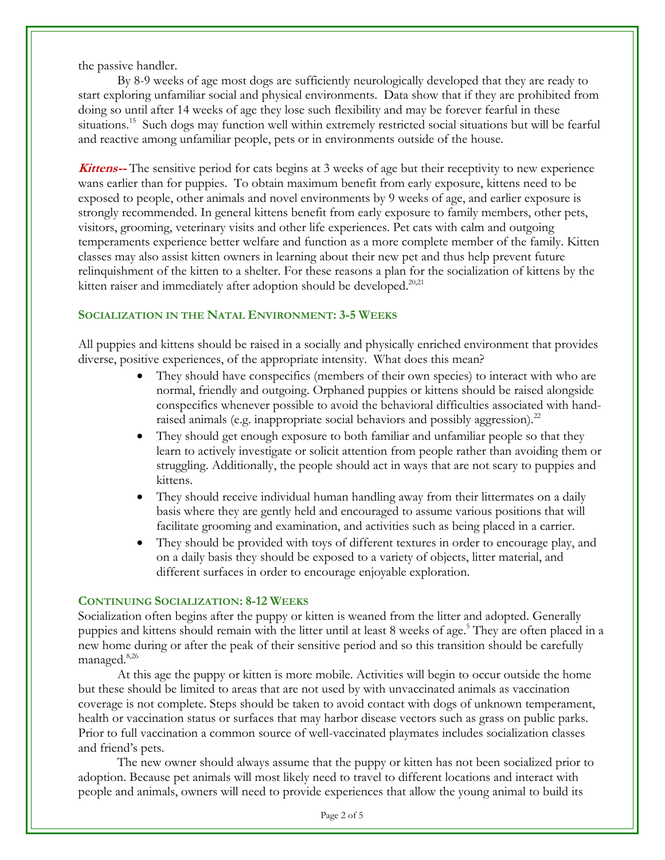the passive handler.

By 8-9 weeks of age most dogs are sufficiently neurologically developed that they are ready to start exploring unfamiliar social and physical environments. Data show that if they are prohibited from doing so until after 14 weeks of age they lose such flexibility and may be forever fearful in these situations.<sup>[15](#page-0-2)</sup> Such dogs may function well within extremely restricted social situations but will be fearful and reactive among unfamiliar people, pets or in environments outside of the house.

**Kittens--** The sensitive period for cats begins at 3 weeks of age but their receptivity to new experience wans earlier than for puppies. To obtain maximum benefit from early exposure, kittens need to be exposed to people, other animals and novel environments by 9 weeks of age, and earlier exposure is strongly recommended. In general kittens benefit from early exposure to family members, other pets, visitors, grooming, veterinary visits and other life experiences. Pet cats with calm and outgoing temperaments experience better welfare and function as a more complete member of the family. Kitten classes may also assist kitten owners in learning about their new pet and thus help prevent future relinquishment of the kitten to a shelter. For these reasons a plan for the socialization of kittens by the kitten raiser and immediately after adoption should be developed.<sup>20,21</sup>

# **SOCIALIZATION IN THE NATAL ENVIRONMENT: 3-5 WEEKS**

All puppies and kittens should be raised in a socially and physically enriched environment that provides diverse, positive experiences, of the appropriate intensity. What does this mean?

- They should have conspecifics (members of their own species) to interact with who are normal, friendly and outgoing. Orphaned puppies or kittens should be raised alongside conspecifics whenever possible to avoid the behavioral difficulties associated with handraised animals (e.g. inappropriate social behaviors and possibly aggression).<sup>22</sup>
- They should get enough exposure to both familiar and unfamiliar people so that they learn to actively investigate or solicit attention from people rather than avoiding them or struggling. Additionally, the people should act in ways that are not scary to puppies and kittens.
- They should receive individual human handling away from their littermates on a daily basis where they are gently held and encouraged to assume various positions that will facilitate grooming and examination, and activities such as being placed in a carrier.
- They should be provided with toys of different textures in order to encourage play, and on a daily basis they should be exposed to a variety of objects, litter material, and different surfaces in order to encourage enjoyable exploration.

# **CONTINUING SOCIALIZATION: 8-12 WEEKS**

Socialization often begins after the puppy or kitten is weaned from the litter and adopted. Generally puppies and kittens should remain with the litter until at least 8 weeks of age[.](#page-0-3) <sup>5</sup> They are often placed in a new home during or after the peak of their sensitive period and so this transition should be carefully managed.<sup>8,26</sup>

At this age the puppy or kitten is more mobile. Activities will begin to occur outside the home but these should be limited to areas that are not used by with unvaccinated animals as vaccination coverage is not complete. Steps should be taken to avoid contact with dogs of unknown temperament, health or vaccination status or surfaces that may harbor disease vectors such as grass on public parks. Prior to full vaccination a common source of well-vaccinated playmates includes socialization classes and friend's pets.

The new owner should always assume that the puppy or kitten has not been socialized prior to adoption. Because pet animals will most likely need to travel to different locations and interact with people and animals, owners will need to provide experiences that allow the young animal to build its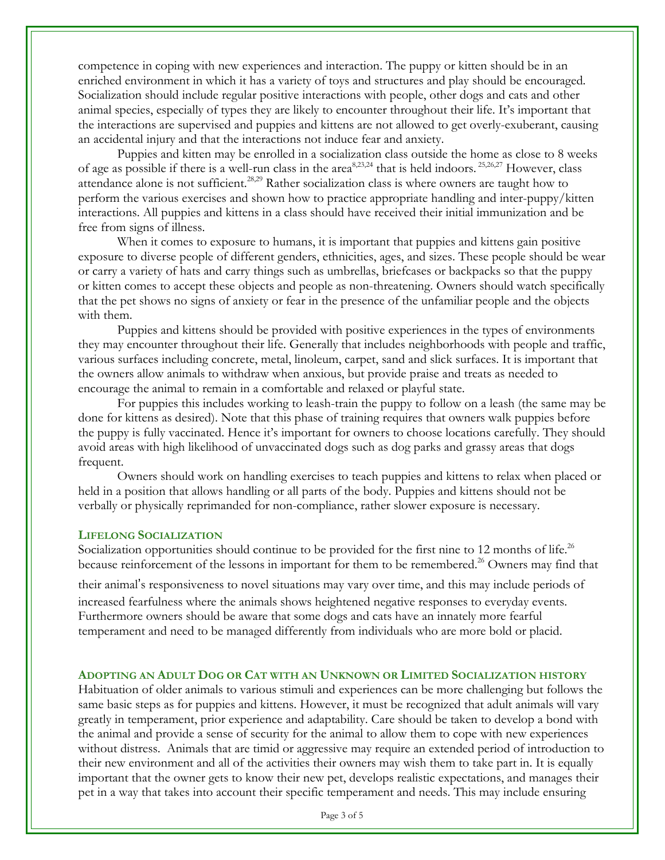competence in coping with new experiences and interaction. The puppy or kitten should be in an enriched environment in which it has a variety of toys and structures and play should be encouraged. Socialization should include regular positive interactions with people, other dogs and cats and other animal species, especially of types they are likely to encounter throughout their life. It's important that the interactions are supervised and puppies and kittens are not allowed to get overly-exuberant, causing an accidental injury and that the interactions not induce fear and anxiety.

Puppies and kitten may be enrolled in a socialization class outside the home as close to 8 weeks of age as possible if there is a well-run class in the area<sup>8,23,24</sup> that is held indoors. <sup>25,26,27</sup> However, class attendance alone is not sufficient.<sup>28,29</sup> Rather socialization class is where owners are taught how to perform the various exercises and shown how to practice appropriate handling and inter-puppy/kitten interactions. All puppies and kittens in a class should have received their initial immunization and be free from signs of illness.

When it comes to exposure to humans, it is important that puppies and kittens gain positive exposure to diverse people of different genders, ethnicities, ages, and sizes. These people should be wear or carry a variety of hats and carry things such as umbrellas, briefcases or backpacks so that the puppy or kitten comes to accept these objects and people as non-threatening. Owners should watch specifically that the pet shows no signs of anxiety or fear in the presence of the unfamiliar people and the objects with them.

Puppies and kittens should be provided with positive experiences in the types of environments they may encounter throughout their life. Generally that includes neighborhoods with people and traffic, various surfaces including concrete, metal, linoleum, carpet, sand and slick surfaces. It is important that the owners allow animals to withdraw when anxious, but provide praise and treats as needed to encourage the animal to remain in a comfortable and relaxed or playful state.

For puppies this includes working to leash-train the puppy to follow on a leash (the same may be done for kittens as desired). Note that this phase of training requires that owners walk puppies before the puppy is fully vaccinated. Hence it's important for owners to choose locations carefully. They should avoid areas with high likelihood of unvaccinated dogs such as dog parks and grassy areas that dogs frequent.

Owners should work on handling exercises to teach puppies and kittens to relax when placed or held in a position that allows handling or all parts of the body. Puppies and kittens should not be verbally or physically reprimanded for non-compliance, rather slower exposure is necessary.

#### **LIFELONG SOCIALIZATION**

Socialization opportunities should continue to be provided for the first nine to 12 months of life.<sup>26</sup> because reinforcement of the lessons in important for them to be remembered.<sup>26</sup> Owners may find that

their animal's responsiveness to novel situations may vary over time, and this may include periods of

increased fearfulness where the animals shows heightened negative responses to everyday events. Furthermore owners should be aware that some dogs and cats have an innately more fearful temperament and need to be managed differently from individuals who are more bold or placid.

### **ADOPTING AN ADULT DOG OR CAT WITH AN UNKNOWN OR LIMITED SOCIALIZATION HISTORY**

Habituation of older animals to various stimuli and experiences can be more challenging but follows the same basic steps as for puppies and kittens. However, it must be recognized that adult animals will vary greatly in temperament, prior experience and adaptability. Care should be taken to develop a bond with the animal and provide a sense of security for the animal to allow them to cope with new experiences without distress. Animals that are timid or aggressive may require an extended period of introduction to their new environment and all of the activities their owners may wish them to take part in. It is equally important that the owner gets to know their new pet, develops realistic expectations, and manages their pet in a way that takes into account their specific temperament and needs. This may include ensuring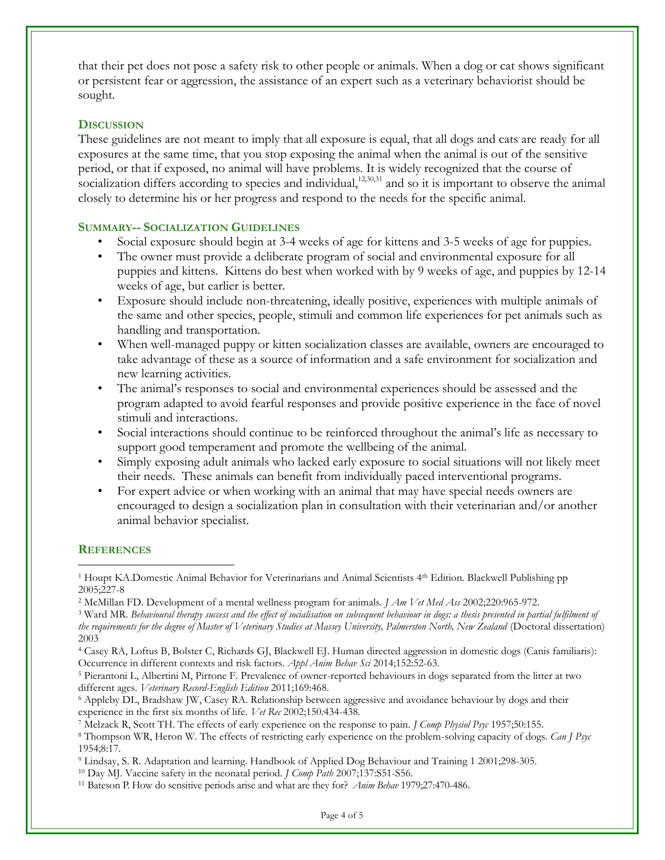that their pet does not pose a safety risk to other people or animals. When a dog or cat shows significant or persistent fear or aggression, the assistance of an expert such as a veterinary behaviorist should be sought.

### **DISCUSSION**

These guidelines are not meant to imply that all exposure is equal, that all dogs and cats are ready for all exposures at the same time, that you stop exposing the animal when the animal is out of the sensitive period, or that if exposed, no animal will have problems. It is widely recognized that the course of socialization differs according to species and individual,<sup>12,30,31</sup> and so it is important to observe the animal closely to determine his or her progress and respond to the needs for the specific animal.

### **SUMMARY-- SOCIALIZATION GUIDELINES**

- Social exposure should begin at 3-4 weeks of age for kittens and 3-5 weeks of age for puppies.
- The owner must provide a deliberate program of social and environmental exposure for all puppies and kittens. Kittens do best when worked with by 9 weeks of age, and puppies by 12-14 weeks of age, but earlier is better.
- Exposure should include non-threatening, ideally positive, experiences with multiple animals of the same and other species, people, stimuli and common life experiences for pet animals such as handling and transportation.
- When well-managed puppy or kitten socialization classes are available, owners are encouraged to take advantage of these as a source of information and a safe environment for socialization and new learning activities.
- The animal's responses to social and environmental experiences should be assessed and the program adapted to avoid fearful responses and provide positive experience in the face of novel stimuli and interactions.
- Social interactions should continue to be reinforced throughout the animal's life as necessary to support good temperament and promote the wellbeing of the animal.
- Simply exposing adult animals who lacked early exposure to social situations will not likely meet their needs. These animals can benefit from individually paced interventional programs.
- For expert advice or when working with an animal that may have special needs owners are encouraged to design a socialization plan in consultation with their veterinarian and/or another animal behavior specialist.

# **REFERENCES**

 $\overline{a}$ 

<sup>4</sup> Casey RA, Loftus B, Bolster C, Richards GJ, Blackwell EJ. Human directed aggression in domestic dogs (Canis familiaris): Occurrence in different contexts and risk factors. *Appl Anim Behav Sci* 2014;152:52-63.

<sup>6</sup> Appleby DL, Bradshaw JW, Casey RA. Relationship between aggressive and avoidance behaviour by dogs and their experience in the first six months of life. *Vet Rec* 2002;150*:*434-438.

<sup>&</sup>lt;sup>1</sup> Houpt KA.Domestic Animal Behavior for Veterinarians and Animal Scientists 4<sup>th</sup> Edition. Blackwell Publishing pp 2005;227-8

<sup>2</sup> McMillan FD. Development of a mental wellness program for animals. *J Am Vet Med Ass* 2002;220:965-972.

<sup>3</sup> Ward MR. *Behavioural therapy success and the effect of socialisation on subsequent behaviour in dogs: a thesis presented in partial fulfilment of the requirements for the degree of Master of Veterinary Studies at Massey University, Palmerston North, New Zealand* (Doctoral dissertation) 2003

<sup>5</sup> Pierantoni L, Albertini M, Pirrone F. Prevalence of owner-reported behaviours in dogs separated from the litter at two different ages. *Veterinary Record-English Edition* 2011;169:468.

<sup>7</sup> Melzack R, Scott TH. The effects of early experience on the response to pain*. J Comp Physiol Psyc* 1957;50:155.

<sup>8</sup> Thompson WR, Heron W. The effects of restricting early experience on the problem-solving capacity of dogs. *Can J Psyc* 1954;8:17.

<sup>9</sup> Lindsay, S. R. Adaptation and learning. Handbook of Applied Dog Behaviour and Training 1 2001;298-305.

<sup>10</sup> Day MJ. Vaccine safety in the neonatal period. *J Comp Path* 2007;137:S51-S56.

<sup>11</sup> Bateson P. How do sensitive periods arise and what are they for? *Anim Behav* 1979;27:470-486.